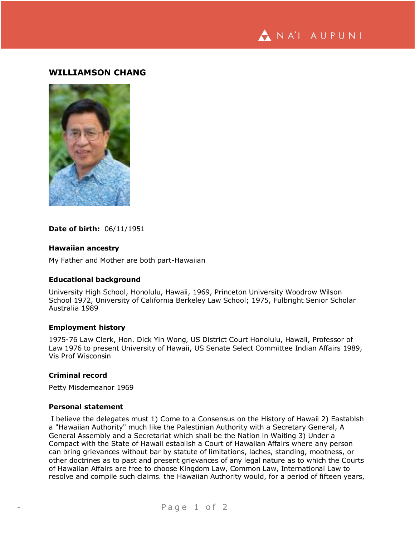NA'I AUPUNI

# **WILLIAMSON CHANG**



### **Date of birth:** 06/11/1951

### **Hawaiian ancestry**

My Father and Mother are both part-Hawaiian

### **Educational background**

University High School, Honolulu, Hawaii, 1969, Princeton University Woodrow Wilson School 1972, University of California Berkeley Law School; 1975, Fulbright Senior Scholar Australia 1989

# **Employment history**

1975-76 Law Clerk, Hon. Dick Yin Wong, US District Court Honolulu, Hawaii, Professor of Law 1976 to present University of Hawaii, US Senate Select Committee Indian Affairs 1989, Vis Prof Wisconsin

#### **Criminal record**

Petty Misdemeanor 1969

# **Personal statement**

I believe the delegates must 1) Come to a Consensus on the History of Hawaii 2) Eastablsh a "Hawaiian Authority" much like the Palestinian Authority with a Secretary General, A General Assembly and a Secretariat which shall be the Nation in Waiting 3) Under a Compact with the State of Hawaii establish a Court of Hawaiian Affairs where any person can bring grievances without bar by statute of limitations, laches, standing, mootness, or other doctrines as to past and present grievances of any legal nature as to which the Courts of Hawaiian Affairs are free to choose Kingdom Law, Common Law, International Law to resolve and compile such claims. the Hawaiian Authority would, for a period of fifteen years,